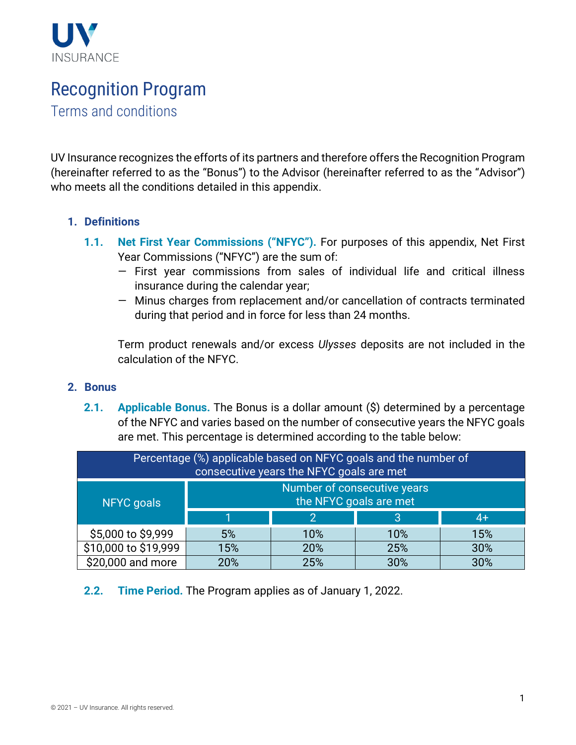

Recognition Program Terms and conditions

UV Insurance recognizes the efforts of its partners and therefore offers the Recognition Program (hereinafter referred to as the "Bonus") to the Advisor (hereinafter referred to as the "Advisor") who meets all the conditions detailed in this appendix.

## **1. Definitions**

- **1.1. Net First Year Commissions ("NFYC").** For purposes of this appendix, Net First Year Commissions ("NFYC") are the sum of:
	- First year commissions from sales of individual life and critical illness insurance during the calendar year;
	- Minus charges from replacement and/or cancellation of contracts terminated during that period and in force for less than 24 months.

Term product renewals and/or excess *Ulysses* deposits are not included in the calculation of the NFYC.

## **2. Bonus**

**2.1. Applicable Bonus.** The Bonus is a dollar amount (\$) determined by a percentage of the NFYC and varies based on the number of consecutive years the NFYC goals are met. This percentage is determined according to the table below:

| Percentage (%) applicable based on NFYC goals and the number of<br>consecutive years the NFYC goals are met |                                                       |     |     |     |
|-------------------------------------------------------------------------------------------------------------|-------------------------------------------------------|-----|-----|-----|
| NFYC goals                                                                                                  | Number of consecutive years<br>the NFYC goals are met |     |     |     |
|                                                                                                             |                                                       |     | 3   | 4+  |
| \$5,000 to \$9,999                                                                                          | 5%                                                    | 10% | 10% | 15% |
| \$10,000 to \$19,999                                                                                        | 15%                                                   | 20% | 25% | 30% |
| \$20,000 and more                                                                                           | 20%                                                   | 25% | 30% | 30% |

**2.2. Time Period.** The Program applies as of January 1, 2022.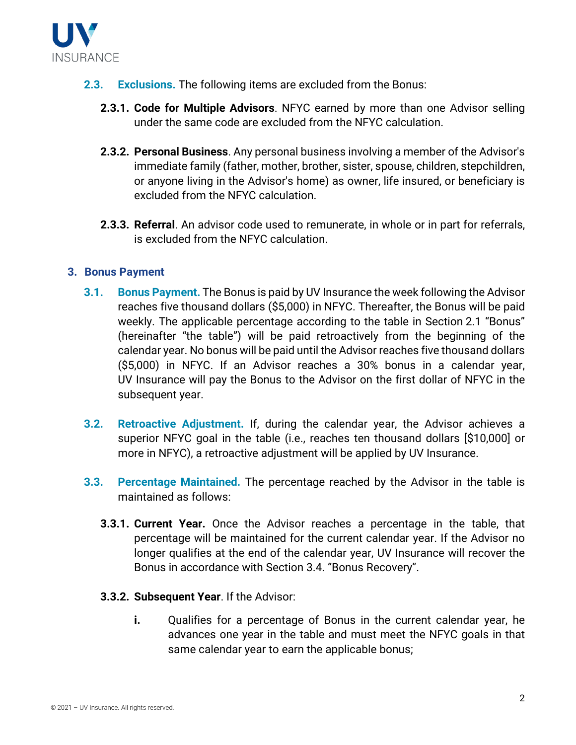

- **2.3. Exclusions.** The following items are excluded from the Bonus:
	- **2.3.1. Code for Multiple Advisors**. NFYC earned by more than one Advisor selling under the same code are excluded from the NFYC calculation.
	- **2.3.2. Personal Business**. Any personal business involving a member of the Advisor's immediate family (father, mother, brother, sister, spouse, children, stepchildren, or anyone living in the Advisor's home) as owner, life insured, or beneficiary is excluded from the NFYC calculation.
	- **2.3.3. Referral**. An advisor code used to remunerate, in whole or in part for referrals, is excluded from the NFYC calculation.

## **3. Bonus Payment**

- **3.1. Bonus Payment.** The Bonus is paid by UV Insurance the week following the Advisor reaches five thousand dollars (\$5,000) in NFYC. Thereafter, the Bonus will be paid weekly. The applicable percentage according to the table in Section 2.1 "Bonus" (hereinafter "the table") will be paid retroactively from the beginning of the calendar year. No bonus will be paid until the Advisor reaches five thousand dollars (\$5,000) in NFYC. If an Advisor reaches a 30% bonus in a calendar year, UV Insurance will pay the Bonus to the Advisor on the first dollar of NFYC in the subsequent year.
- **3.2. Retroactive Adjustment.** If, during the calendar year, the Advisor achieves a superior NFYC goal in the table (i.e., reaches ten thousand dollars [\$10,000] or more in NFYC), a retroactive adjustment will be applied by UV Insurance.
- **3.3. Percentage Maintained.** The percentage reached by the Advisor in the table is maintained as follows:
	- **3.3.1. Current Year.** Once the Advisor reaches a percentage in the table, that percentage will be maintained for the current calendar year. If the Advisor no longer qualifies at the end of the calendar year, UV Insurance will recover the Bonus in accordance with Section 3.4. "Bonus Recovery".
	- **3.3.2. Subsequent Year**. If the Advisor:
		- **i.** Qualifies for a percentage of Bonus in the current calendar year, he advances one year in the table and must meet the NFYC goals in that same calendar year to earn the applicable bonus;